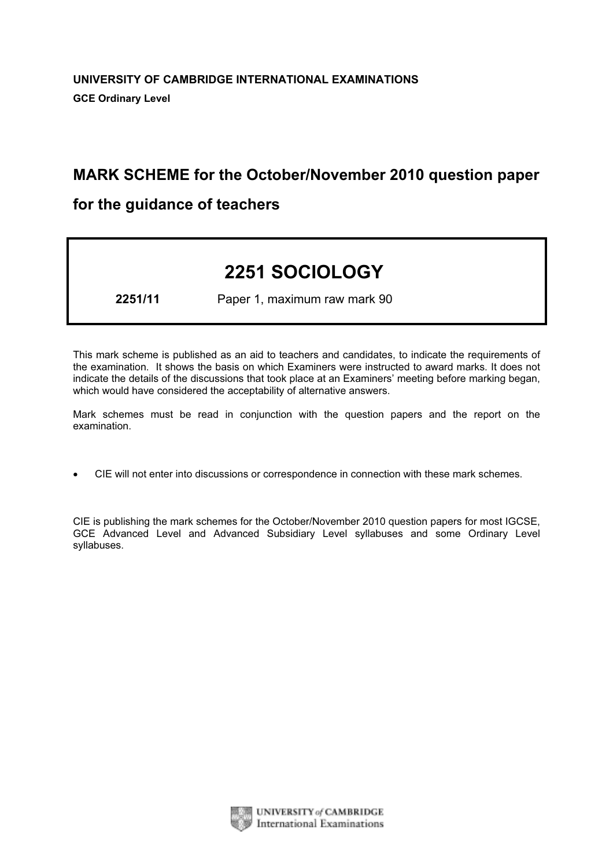# MARK SCHEME for the October/November 2010 question paper

# for the guidance of teachers

# 2251 SOCIOLOGY

2251/11 Paper 1, maximum raw mark 90

This mark scheme is published as an aid to teachers and candidates, to indicate the requirements of the examination. It shows the basis on which Examiners were instructed to award marks. It does not indicate the details of the discussions that took place at an Examiners' meeting before marking began, which would have considered the acceptability of alternative answers.

Mark schemes must be read in conjunction with the question papers and the report on the examination.

*•* CIE will not enter into discussions or correspondence in connection with these mark schemes.

CIE is publishing the mark schemes for the October/November 2010 question papers for most IGCSE, GCE Advanced Level and Advanced Subsidiary Level syllabuses and some Ordinary Level syllabuses.



UNIVERSITY of CAMBRIDGE **International Examinations**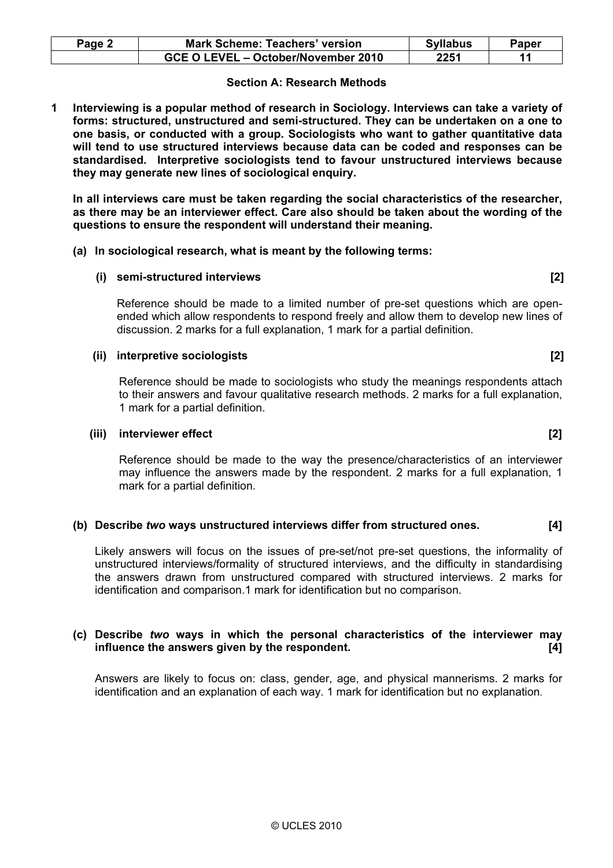| Page 2 | <b>Mark Scheme: Teachers' version</b> | <b>Syllabus</b> | Paper |
|--------|---------------------------------------|-----------------|-------|
|        | GCE O LEVEL - October/November 2010   | 2251            |       |

# Section A: Research Methods

1 Interviewing is a popular method of research in Sociology. Interviews can take a variety of forms: structured, unstructured and semi-structured. They can be undertaken on a one to one basis, or conducted with a group. Sociologists who want to gather quantitative data will tend to use structured interviews because data can be coded and responses can be standardised. Interpretive sociologists tend to favour unstructured interviews because they may generate new lines of sociological enquiry.

 In all interviews care must be taken regarding the social characteristics of the researcher, as there may be an interviewer effect. Care also should be taken about the wording of the questions to ensure the respondent will understand their meaning.

(a) In sociological research, what is meant by the following terms:

#### (i) semi-structured interviews [2]

 Reference should be made to a limited number of pre-set questions which are openended which allow respondents to respond freely and allow them to develop new lines of discussion. 2 marks for a full explanation, 1 mark for a partial definition.

#### (ii) interpretive sociologists [2]

 Reference should be made to sociologists who study the meanings respondents attach to their answers and favour qualitative research methods. 2 marks for a full explanation, 1 mark for a partial definition.

#### (iii) interviewer effect [2]

Reference should be made to the way the presence/characteristics of an interviewer may influence the answers made by the respondent. 2 marks for a full explanation, 1 mark for a partial definition.

#### (b) Describe two ways unstructured interviews differ from structured ones. [4]

 Likely answers will focus on the issues of pre-set/not pre-set questions, the informality of unstructured interviews/formality of structured interviews, and the difficulty in standardising the answers drawn from unstructured compared with structured interviews. 2 marks for identification and comparison.1 mark for identification but no comparison.

# (c) Describe two ways in which the personal characteristics of the interviewer may influence the answers given by the respondent. [4]

 Answers are likely to focus on: class, gender, age, and physical mannerisms. 2 marks for identification and an explanation of each way. 1 mark for identification but no explanation.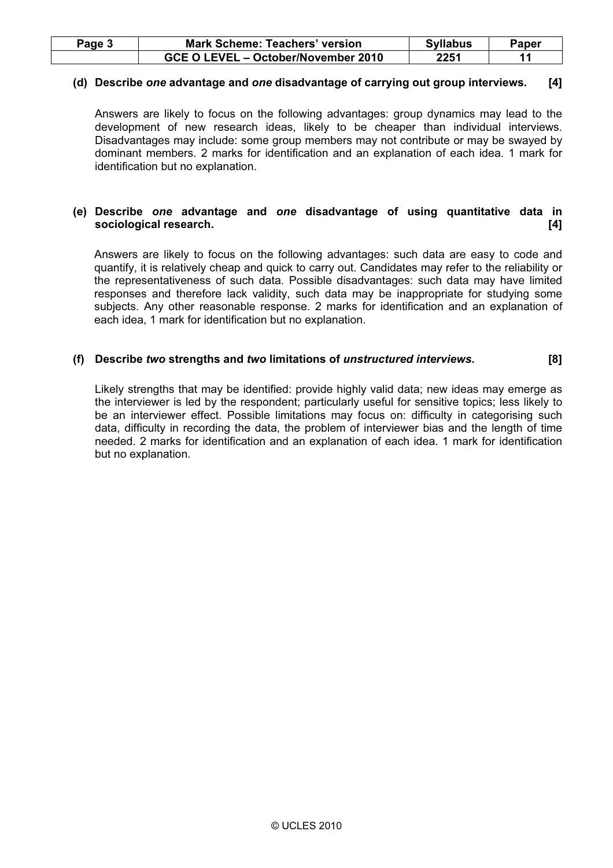| Paqe 3 | <b>Mark Scheme: Teachers' version</b> | <b>Syllabus</b> | Paper |
|--------|---------------------------------------|-----------------|-------|
|        | GCE O LEVEL - October/November 2010   | 2251            |       |

# (d) Describe one advantage and one disadvantage of carrying out group interviews. [4]

 Answers are likely to focus on the following advantages: group dynamics may lead to the development of new research ideas, likely to be cheaper than individual interviews. Disadvantages may include: some group members may not contribute or may be swayed by dominant members. 2 marks for identification and an explanation of each idea. 1 mark for identification but no explanation.

# (e) Describe one advantage and one disadvantage of using quantitative data in sociological research. [4]

Answers are likely to focus on the following advantages: such data are easy to code and quantify, it is relatively cheap and quick to carry out. Candidates may refer to the reliability or the representativeness of such data. Possible disadvantages: such data may have limited responses and therefore lack validity, such data may be inappropriate for studying some subjects. Any other reasonable response. 2 marks for identification and an explanation of each idea, 1 mark for identification but no explanation.

# (f) Describe two strengths and two limitations of unstructured interviews. [8]

 Likely strengths that may be identified: provide highly valid data; new ideas may emerge as the interviewer is led by the respondent; particularly useful for sensitive topics; less likely to be an interviewer effect. Possible limitations may focus on: difficulty in categorising such data, difficulty in recording the data, the problem of interviewer bias and the length of time needed. 2 marks for identification and an explanation of each idea. 1 mark for identification but no explanation.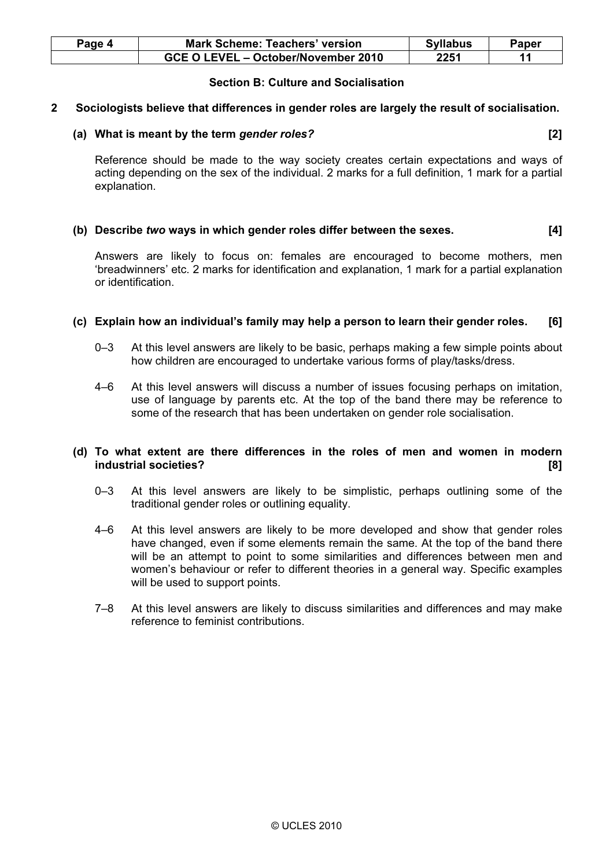| Paqe 4 | <b>Mark Scheme: Teachers' version</b> | <b>Syllabus</b> | Paper |
|--------|---------------------------------------|-----------------|-------|
|        | GCE O LEVEL - October/November 2010   | 2251            |       |

# Section B: Culture and Socialisation

### 2 Sociologists believe that differences in gender roles are largely the result of socialisation.

# (a) What is meant by the term gender roles? [2]

 Reference should be made to the way society creates certain expectations and ways of acting depending on the sex of the individual. 2 marks for a full definition, 1 mark for a partial explanation.

# (b) Describe two ways in which gender roles differ between the sexes. [4]

 Answers are likely to focus on: females are encouraged to become mothers, men 'breadwinners' etc. 2 marks for identification and explanation, 1 mark for a partial explanation or identification.

# (c) Explain how an individual's family may help a person to learn their gender roles. [6]

- 0–3 At this level answers are likely to be basic, perhaps making a few simple points about how children are encouraged to undertake various forms of play/tasks/dress.
- 4–6 At this level answers will discuss a number of issues focusing perhaps on imitation, use of language by parents etc. At the top of the band there may be reference to some of the research that has been undertaken on gender role socialisation.

# (d) To what extent are there differences in the roles of men and women in modern industrial societies? [8]

- 0–3 At this level answers are likely to be simplistic, perhaps outlining some of the traditional gender roles or outlining equality.
- 4–6 At this level answers are likely to be more developed and show that gender roles have changed, even if some elements remain the same. At the top of the band there will be an attempt to point to some similarities and differences between men and women's behaviour or refer to different theories in a general way. Specific examples will be used to support points.
- 7–8 At this level answers are likely to discuss similarities and differences and may make reference to feminist contributions.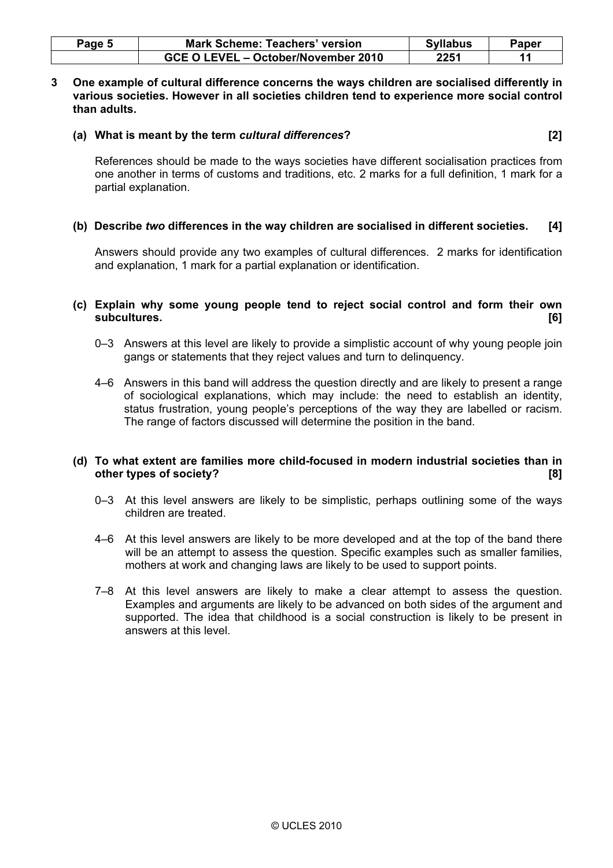| Page 5 | <b>Mark Scheme: Teachers' version</b> | <b>Syllabus</b> | Paper |
|--------|---------------------------------------|-----------------|-------|
|        | GCE O LEVEL - October/November 2010   | 2251            |       |

3 One example of cultural difference concerns the ways children are socialised differently in various societies. However in all societies children tend to experience more social control than adults.

#### (a) What is meant by the term cultural differences? [2]

 References should be made to the ways societies have different socialisation practices from one another in terms of customs and traditions, etc. 2 marks for a full definition, 1 mark for a partial explanation.

# (b) Describe two differences in the way children are socialised in different societies. [4]

 Answers should provide any two examples of cultural differences. 2 marks for identification and explanation, 1 mark for a partial explanation or identification.

# (c) Explain why some young people tend to reject social control and form their own subcultures. [6]

- 0–3 Answers at this level are likely to provide a simplistic account of why young people join gangs or statements that they reject values and turn to delinquency.
- 4–6 Answers in this band will address the question directly and are likely to present a range of sociological explanations, which may include: the need to establish an identity, status frustration, young people's perceptions of the way they are labelled or racism. The range of factors discussed will determine the position in the band.

#### (d) To what extent are families more child-focused in modern industrial societies than in other types of society? [8] **and the society? contract the society? contract to the society?**

- 0–3 At this level answers are likely to be simplistic, perhaps outlining some of the ways children are treated.
- 4–6 At this level answers are likely to be more developed and at the top of the band there will be an attempt to assess the question. Specific examples such as smaller families, mothers at work and changing laws are likely to be used to support points.
- 7–8 At this level answers are likely to make a clear attempt to assess the question. Examples and arguments are likely to be advanced on both sides of the argument and supported. The idea that childhood is a social construction is likely to be present in answers at this level.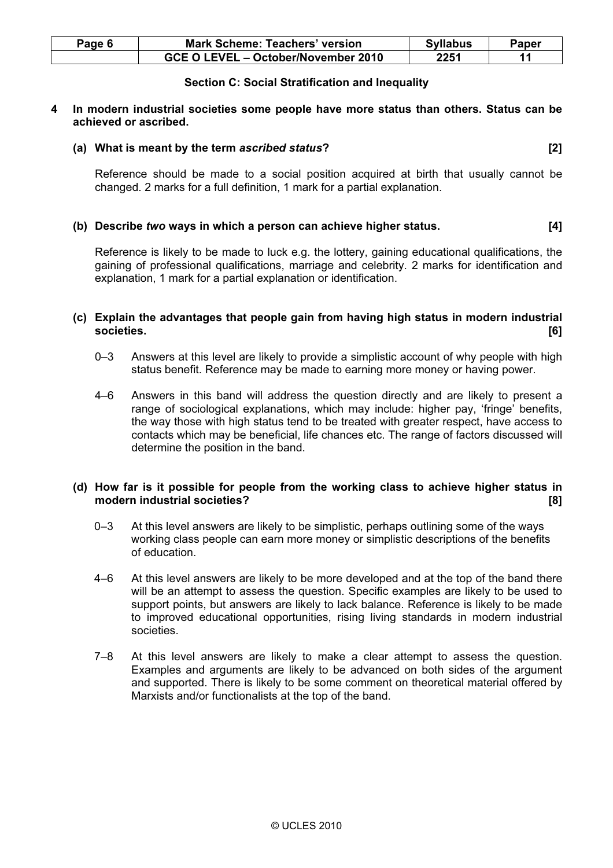| Page 6 | <b>Mark Scheme: Teachers' version</b> | <b>Syllabus</b> | Paper |
|--------|---------------------------------------|-----------------|-------|
|        | GCE O LEVEL - October/November 2010   | 2251            |       |

# Section C: Social Stratification and Inequality

#### 4 In modern industrial societies some people have more status than others. Status can be achieved or ascribed.

#### (a) What is meant by the term ascribed status? [2]

 Reference should be made to a social position acquired at birth that usually cannot be changed. 2 marks for a full definition, 1 mark for a partial explanation.

# (b) Describe two ways in which a person can achieve higher status. [4]

 Reference is likely to be made to luck e.g. the lottery, gaining educational qualifications, the gaining of professional qualifications, marriage and celebrity. 2 marks for identification and explanation, 1 mark for a partial explanation or identification.

# (c) Explain the advantages that people gain from having high status in modern industrial societies. [6]

- 0–3 Answers at this level are likely to provide a simplistic account of why people with high status benefit. Reference may be made to earning more money or having power.
- 4–6 Answers in this band will address the question directly and are likely to present a range of sociological explanations, which may include: higher pay, 'fringe' benefits, the way those with high status tend to be treated with greater respect, have access to contacts which may be beneficial, life chances etc. The range of factors discussed will determine the position in the band.

# (d) How far is it possible for people from the working class to achieve higher status in modern industrial societies? [8]

- 0–3 At this level answers are likely to be simplistic, perhaps outlining some of the ways working class people can earn more money or simplistic descriptions of the benefits of education.
- 4–6 At this level answers are likely to be more developed and at the top of the band there will be an attempt to assess the question. Specific examples are likely to be used to support points, but answers are likely to lack balance. Reference is likely to be made to improved educational opportunities, rising living standards in modern industrial societies.
- 7–8 At this level answers are likely to make a clear attempt to assess the question. Examples and arguments are likely to be advanced on both sides of the argument and supported. There is likely to be some comment on theoretical material offered by Marxists and/or functionalists at the top of the band.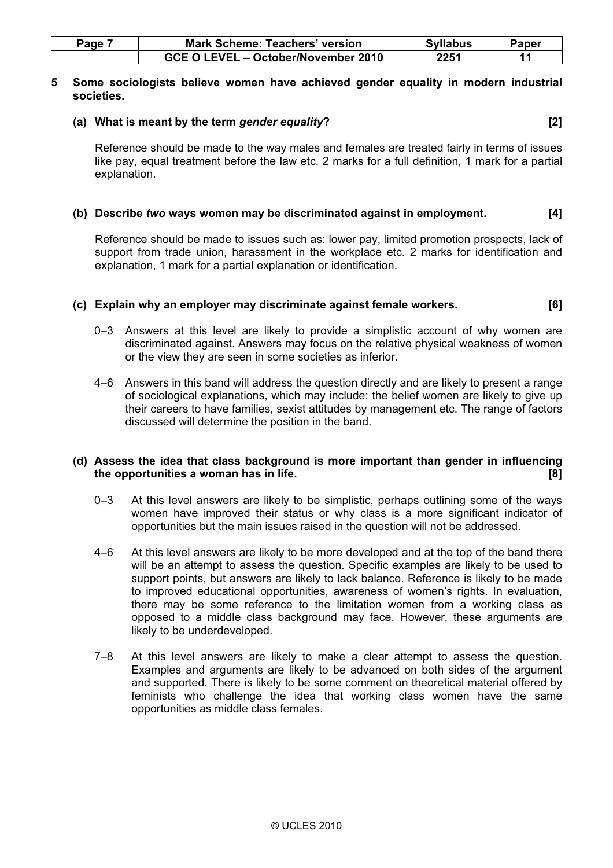| $a$ ge | Mark Scheme: Teachers' version      | <b>Syllabus</b> | $\mathsf{Paper }$ |
|--------|-------------------------------------|-----------------|-------------------|
|        | GCE O LEVEL - October/November 2010 | 2251            |                   |

#### 5 Some sociologists believe women have achieved gender equality in modern industrial societies.

# (a) What is meant by the term gender equality?  $[2]$

 Reference should be made to the way males and females are treated fairly in terms of issues like pay, equal treatment before the law etc. 2 marks for a full definition, 1 mark for a partial explanation.

# (b) Describe two ways women may be discriminated against in employment. [4]

 Reference should be made to issues such as: lower pay, limited promotion prospects, lack of support from trade union, harassment in the workplace etc. 2 marks for identification and explanation, 1 mark for a partial explanation or identification.

# (c) Explain why an employer may discriminate against female workers. [6]

- 0–3 Answers at this level are likely to provide a simplistic account of why women are discriminated against. Answers may focus on the relative physical weakness of women or the view they are seen in some societies as inferior.
- 4–6 Answers in this band will address the question directly and are likely to present a range of sociological explanations, which may include: the belief women are likely to give up their careers to have families, sexist attitudes by management etc. The range of factors discussed will determine the position in the band.

#### (d) Assess the idea that class background is more important than gender in influencing the opportunities a woman has in life. **Example 20 and 1999** The control of the state of the state of the state o

- 0–3 At this level answers are likely to be simplistic, perhaps outlining some of the ways women have improved their status or why class is a more significant indicator of opportunities but the main issues raised in the question will not be addressed.
- 4–6 At this level answers are likely to be more developed and at the top of the band there will be an attempt to assess the question. Specific examples are likely to be used to support points, but answers are likely to lack balance. Reference is likely to be made to improved educational opportunities, awareness of women's rights. In evaluation, there may be some reference to the limitation women from a working class as opposed to a middle class background may face. However, these arguments are likely to be underdeveloped.
- 7–8 At this level answers are likely to make a clear attempt to assess the question. Examples and arguments are likely to be advanced on both sides of the argument and supported. There is likely to be some comment on theoretical material offered by feminists who challenge the idea that working class women have the same opportunities as middle class females.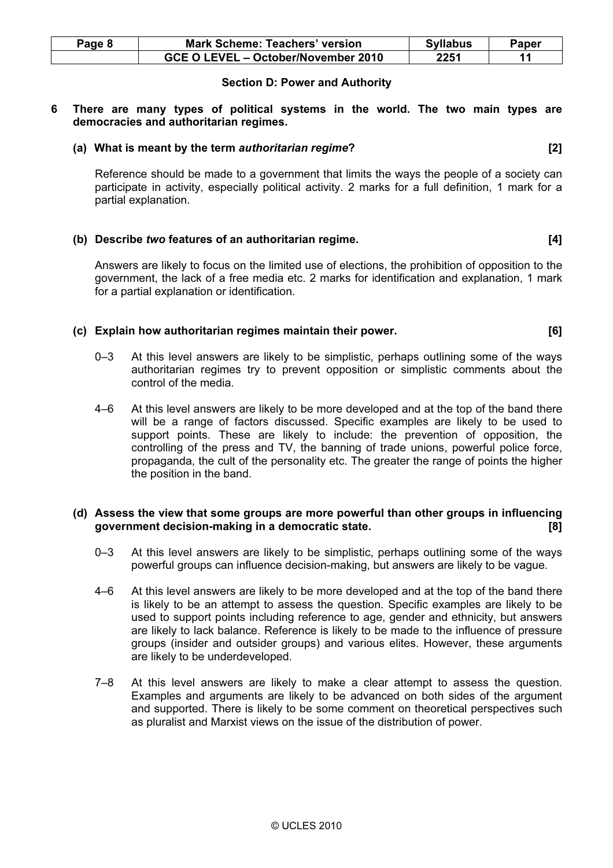| Page 8 | <b>Mark Scheme: Teachers' version</b> | <b>Syllabus</b> | Paper |
|--------|---------------------------------------|-----------------|-------|
|        | GCE O LEVEL - October/November 2010   | 2251            |       |

# Section D: Power and Authority

6 There are many types of political systems in the world. The two main types are democracies and authoritarian regimes.

#### (a) What is meant by the term authoritarian regime? [2]

 Reference should be made to a government that limits the ways the people of a society can participate in activity, especially political activity. 2 marks for a full definition, 1 mark for a partial explanation.

# (b) Describe two features of an authoritarian regime. [4]

 Answers are likely to focus on the limited use of elections, the prohibition of opposition to the government, the lack of a free media etc. 2 marks for identification and explanation, 1 mark for a partial explanation or identification.

# (c) Explain how authoritarian regimes maintain their power. [6]

- 0–3 At this level answers are likely to be simplistic, perhaps outlining some of the ways authoritarian regimes try to prevent opposition or simplistic comments about the control of the media.
- 4–6 At this level answers are likely to be more developed and at the top of the band there will be a range of factors discussed. Specific examples are likely to be used to support points. These are likely to include: the prevention of opposition, the controlling of the press and TV, the banning of trade unions, powerful police force, propaganda, the cult of the personality etc. The greater the range of points the higher the position in the band.

# (d) Assess the view that some groups are more powerful than other groups in influencing government decision-making in a democratic state. [8]

- 0–3 At this level answers are likely to be simplistic, perhaps outlining some of the ways powerful groups can influence decision-making, but answers are likely to be vague.
- 4–6 At this level answers are likely to be more developed and at the top of the band there is likely to be an attempt to assess the question. Specific examples are likely to be used to support points including reference to age, gender and ethnicity, but answers are likely to lack balance. Reference is likely to be made to the influence of pressure groups (insider and outsider groups) and various elites. However, these arguments are likely to be underdeveloped.
- 7–8 At this level answers are likely to make a clear attempt to assess the question. Examples and arguments are likely to be advanced on both sides of the argument and supported. There is likely to be some comment on theoretical perspectives such as pluralist and Marxist views on the issue of the distribution of power.